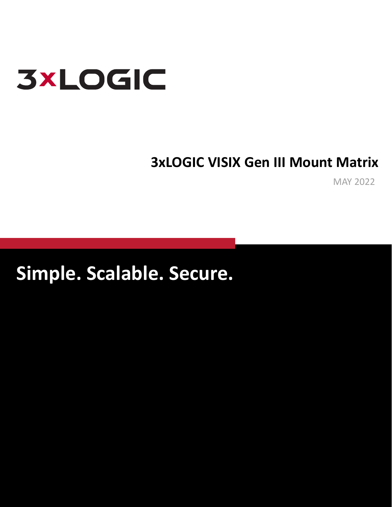

## **3xLOGIC VISIX Gen III Mount Matrix**

MAY 2022

**Simple. Scalable. Secure.**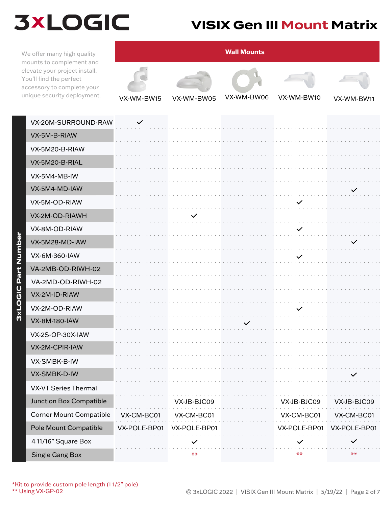### **VISIX Gen III Mount Matrix**

We offer many high quality mounts to complement and elevate your project install. You'll find the perfect accessory to complete your unique security deployment.



| VX-20M-SURROUND-RAW            | $\checkmark$ |              |                                        |                                                         |              |
|--------------------------------|--------------|--------------|----------------------------------------|---------------------------------------------------------|--------------|
| VX-5M-B-RIAW                   |              |              |                                        |                                                         |              |
| VX-5M20-B-RIAW                 |              |              |                                        |                                                         |              |
| VX-5M20-B-RIAL                 |              |              |                                        |                                                         |              |
| VX-5M4-MB-IW                   |              |              |                                        |                                                         |              |
| VX-5M4-MD-IAW                  |              |              |                                        |                                                         | $\checkmark$ |
| VX-5M-OD-RIAW                  |              |              |                                        | $\checkmark$                                            |              |
| VX-2M-OD-RIAWH                 |              |              |                                        | and the contract of the contract of the contract of the |              |
| VX-8M-OD-RIAW                  |              |              |                                        |                                                         |              |
| VX-5M28-MD-IAW                 |              |              |                                        |                                                         | $\checkmark$ |
| VX-6M-360-IAW                  |              |              |                                        | $\checkmark$                                            |              |
| VA-2MB-OD-RIWH-02              |              |              |                                        |                                                         |              |
| VA-2MD-OD-RIWH-02              |              |              |                                        |                                                         |              |
| VX-2M-ID-RIAW                  |              |              |                                        |                                                         |              |
| VX-2M-OD-RIAW                  |              |              | and a straightful and                  | $\checkmark$                                            |              |
| <b>VX-8M-180-IAW</b>           |              |              |                                        |                                                         |              |
| VX-2S-OP-30X-IAW               |              |              |                                        |                                                         |              |
| VX-2M-CPIR-IAW                 |              |              |                                        |                                                         |              |
| VX-SMBK-B-IW                   |              |              |                                        |                                                         |              |
| VX-SMBK-D-IW                   |              |              |                                        |                                                         |              |
| <b>VX-VT Series Thermal</b>    |              |              |                                        |                                                         |              |
| Junction Box Compatible        |              | VX-JB-BJC09  | and a series and a series and a series | VX-JB-BJC09                                             | VX-JB-BJC09  |
| <b>Corner Mount Compatible</b> | VX-CM-BC01   | VX-CM-BC01   | المتحالف والمتحالة والمتحالة والمتحالة | the company's company's<br>VX-CM-BC01                   | VX-CM-BC01   |
| Pole Mount Compatible          | VX-POLE-BP01 | VX-POLE-BP01 |                                        | VX-POLE-BP01                                            | VX-POLE-BP01 |
| 4 11/16" Square Box            |              |              |                                        |                                                         |              |
| <b>Single Gang Box</b>         |              | $***$        |                                        | $**$                                                    | $**$         |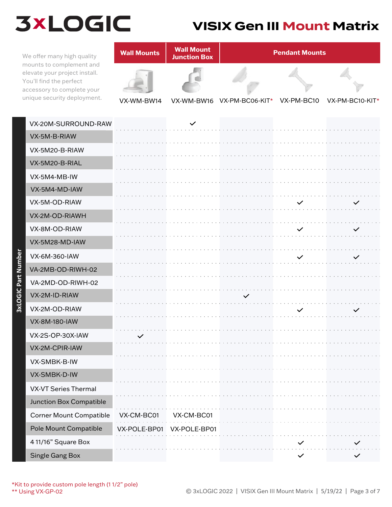#### **VISIX Gen III Mount Matrix**

mounts to complement and elevate your project install. You'll find the perfect accessory to complete your unique security deployment.

**3xLOGIC Part Number**

3xLOGIC Part Number



| VX-20M-SURROUND-RAW            |              | $\checkmark$ |                            |              |              |
|--------------------------------|--------------|--------------|----------------------------|--------------|--------------|
| VX-5M-B-RIAW                   |              |              |                            |              |              |
| VX-5M20-B-RIAW                 |              |              |                            |              |              |
| VX-5M20-B-RIAL                 |              |              |                            |              |              |
| VX-5M4-MB-IW                   |              |              |                            |              |              |
| VX-5M4-MD-IAW                  |              |              |                            |              |              |
| VX-5M-OD-RIAW                  |              |              |                            | $\checkmark$ | $\checkmark$ |
| VX-2M-OD-RIAWH                 |              |              |                            |              |              |
| VX-8M-OD-RIAW                  |              |              |                            |              |              |
| VX-5M28-MD-IAW                 |              |              |                            |              |              |
| VX-6M-360-IAW                  |              |              |                            | $\checkmark$ | $\checkmark$ |
| VA-2MB-OD-RIWH-02              |              |              |                            |              |              |
| VA-2MD-OD-RIWH-02              |              |              |                            |              |              |
|                                |              |              |                            |              |              |
| VX-2M-ID-RIAW                  |              |              | $\checkmark$               |              |              |
| VX-2M-OD-RIAW                  |              |              |                            | $\checkmark$ | $\checkmark$ |
| <b>VX-8M-180-IAW</b>           |              |              |                            |              |              |
| VX-2S-OP-30X-IAW               |              |              |                            |              |              |
| VX-2M-CPIR-IAW                 |              |              |                            |              |              |
| VX-SMBK-B-IW                   |              |              |                            |              |              |
| VX-SMBK-D-IW                   |              |              |                            |              |              |
| <b>VX-VT Series Thermal</b>    |              |              |                            |              |              |
| Junction Box Compatible        |              |              |                            |              |              |
| <b>Corner Mount Compatible</b> | VX-CM-BC01   | VX-CM-BC01   |                            |              |              |
| Pole Mount Compatible          | VX-POLE-BP01 | VX-POLE-BP01 |                            |              |              |
| 4 11/16" Square Box            |              |              | and and and and and and an | $\checkmark$ |              |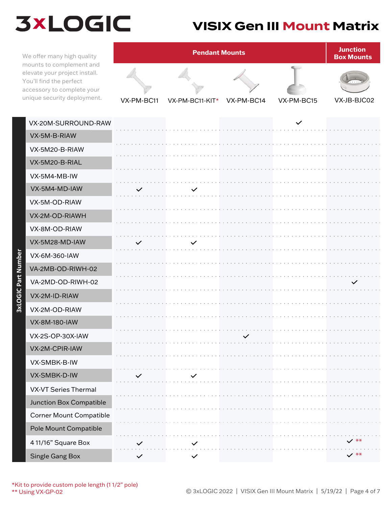#### **VISIX Gen III Mount Matrix**

We offer many high quality mounts to complement and elevate your project install. You'll find the perfect accessory to complete your unique security deployment. VX-PM-BC11

**3xLOGIC Part Number**

3xLOGIC Part Number



| VX-20M-SURROUND-RAW            |              |              |                                                                        | $\checkmark$ |                 |
|--------------------------------|--------------|--------------|------------------------------------------------------------------------|--------------|-----------------|
| VX-5M-B-RIAW                   |              |              |                                                                        |              |                 |
| VX-5M20-B-RIAW                 |              |              |                                                                        |              |                 |
| VX-5M20-B-RIAL                 |              |              |                                                                        |              |                 |
| VX-5M4-MB-IW                   |              |              |                                                                        |              |                 |
| VX-5M4-MD-IAW                  | $\checkmark$ | $\checkmark$ |                                                                        |              |                 |
| VX-5M-OD-RIAW                  |              |              |                                                                        |              |                 |
| VX-2M-OD-RIAWH                 |              |              |                                                                        |              |                 |
| VX-8M-OD-RIAW                  |              |              |                                                                        |              |                 |
| VX-5M28-MD-IAW                 | $\checkmark$ | $\checkmark$ |                                                                        |              |                 |
| VX-6M-360-IAW                  |              |              |                                                                        |              |                 |
| VA-2MB-OD-RIWH-02              |              |              |                                                                        |              |                 |
| VA-2MD-OD-RIWH-02              |              |              |                                                                        |              | $\checkmark$    |
| VX-2M-ID-RIAW                  |              |              |                                                                        |              |                 |
| VX-2M-OD-RIAW                  |              |              |                                                                        |              |                 |
| VX-8M-180-IAW                  |              |              |                                                                        |              |                 |
| VX-2S-OP-30X-IAW               |              |              | a construction of the construction of the construction<br>$\checkmark$ |              |                 |
| VX-2M-CPIR-IAW                 |              |              |                                                                        |              |                 |
| VX-SMBK-B-IW                   |              |              |                                                                        |              |                 |
| VX-SMBK-D-IW                   |              |              |                                                                        |              |                 |
| <b>VX-VT Series Thermal</b>    |              |              |                                                                        |              |                 |
| Junction Box Compatible        |              |              |                                                                        |              |                 |
| <b>Corner Mount Compatible</b> |              |              |                                                                        |              |                 |
| Pole Mount Compatible          |              |              |                                                                        |              |                 |
| 4 11/16" Square Box            |              |              |                                                                        |              |                 |
| <b>Single Gang Box</b>         | $\checkmark$ | $\checkmark$ |                                                                        |              | $\checkmark$ ** |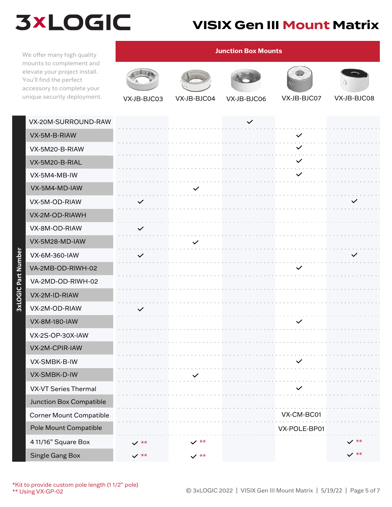### **VISIX Gen III Mount Matrix**

We offer many high quality mounts to complement and elevate your project install. You'll find the perfect accessory to complete your

**3xLOGIC Part Number**

3xLOGIC Part Number



| VX-20M-SURROUND-RAW            |                 |                 | $\checkmark$ |              |                 |
|--------------------------------|-----------------|-----------------|--------------|--------------|-----------------|
| VX-5M-B-RIAW                   |                 |                 |              | $\checkmark$ |                 |
| VX-5M20-B-RIAW                 |                 |                 |              | $\checkmark$ |                 |
| VX-5M20-B-RIAL                 |                 |                 |              | $\checkmark$ |                 |
| VX-5M4-MB-IW                   |                 |                 |              | $\checkmark$ |                 |
| VX-5M4-MD-IAW                  |                 | $\checkmark$    |              |              |                 |
| VX-5M-OD-RIAW                  | $\checkmark$    |                 |              |              |                 |
| VX-2M-OD-RIAWH                 |                 |                 |              |              |                 |
| VX-8M-OD-RIAW                  | $\checkmark$    |                 |              |              |                 |
| VX-5M28-MD-IAW                 |                 | $\checkmark$    |              |              |                 |
| VX-6M-360-IAW                  | $\checkmark$    |                 |              |              |                 |
| VA-2MB-OD-RIWH-02              |                 |                 |              |              |                 |
| VA-2MD-OD-RIWH-02              |                 |                 |              |              |                 |
| VX-2M-ID-RIAW                  |                 |                 |              |              |                 |
| VX-2M-OD-RIAW                  | $\checkmark$    |                 |              |              |                 |
| <b>VX-8M-180-IAW</b>           |                 |                 |              |              |                 |
| VX-2S-OP-30X-IAW               |                 |                 |              |              |                 |
| VX-2M-CPIR-IAW                 |                 |                 |              |              |                 |
| VX-SMBK-B-IW                   |                 |                 |              | $\checkmark$ |                 |
| VX-SMBK-D-IW                   |                 |                 |              |              |                 |
| <b>VX-VT Series Thermal</b>    |                 |                 |              | $\checkmark$ |                 |
| Junction Box Compatible        |                 |                 |              |              |                 |
| <b>Corner Mount Compatible</b> |                 |                 |              | VX-CM-BC01   |                 |
| Pole Mount Compatible          |                 |                 |              | VX-POLE-BP01 |                 |
| 4 11/16" Square Box            | $\checkmark$ ** | $\checkmark$ ** |              |              | $\checkmark$ ** |
| <b>Single Gang Box</b>         | $\checkmark$ ** | $\checkmark$ ** |              |              | $\checkmark$ ** |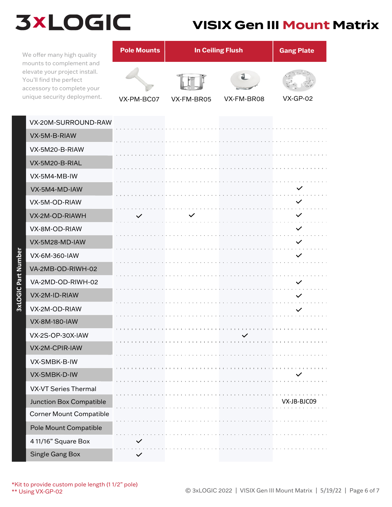#### **VISIX Gen III Mount Matrix**

We offer many high quality mounts to complement and elevate your project install. You'll find the perfect accessory to complete your unique security deployment.

| <b>Pole Mounts</b> | <b>In Ceiling Flush</b> | <b>Gang Plate</b> |                 |
|--------------------|-------------------------|-------------------|-----------------|
|                    |                         |                   |                 |
| VX-PM-BC07         | VX-FM-BR05              | VX-FM-BR08        | <b>VX-GP-02</b> |

| VX-20M-SURROUND-RAW            |              |              |
|--------------------------------|--------------|--------------|
| VX-5M-B-RIAW                   |              |              |
| VX-5M20-B-RIAW                 |              |              |
| VX-5M20-B-RIAL                 |              |              |
| VX-5M4-MB-IW                   |              |              |
| VX-5M4-MD-IAW                  |              | $\checkmark$ |
| VX-5M-OD-RIAW                  |              | $\checkmark$ |
| VX-2M-OD-RIAWH                 | $\checkmark$ | $\checkmark$ |
| VX-8M-OD-RIAW                  |              | $\checkmark$ |
| VX-5M28-MD-IAW                 |              | $\checkmark$ |
| VX-6M-360-IAW                  |              | $\checkmark$ |
| VA-2MB-OD-RIWH-02              |              |              |
| VA-2MD-OD-RIWH-02              |              | $\checkmark$ |
| VX-2M-ID-RIAW                  |              | $\checkmark$ |
| VX-2M-OD-RIAW                  |              | $\checkmark$ |
| <b>VX-8M-180-IAW</b>           |              |              |
| VX-2S-OP-30X-IAW               |              |              |
| VX-2M-CPIR-IAW                 |              |              |
| VX-SMBK-B-IW                   |              |              |
| VX-SMBK-D-IW                   |              |              |
| <b>VX-VT Series Thermal</b>    |              |              |
| Junction Box Compatible        |              | VX-JB-BJC09  |
| <b>Corner Mount Compatible</b> |              |              |
| Pole Mount Compatible          |              |              |
| 4 11/16" Square Box            |              |              |
| Single Gang Box                | $\checkmark$ |              |